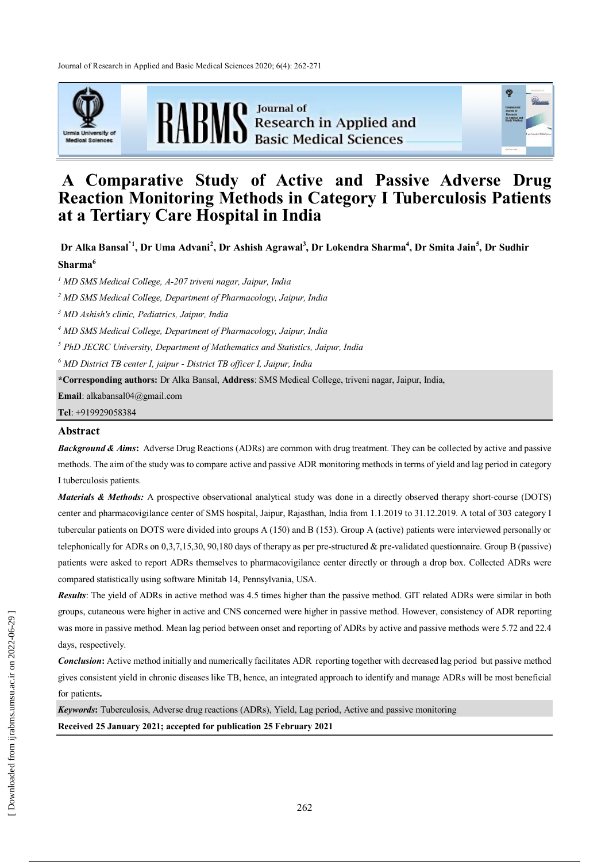Journal of Research in Applied and Basic Medical Sciences 2020; 6(4): 262-271





**RABMS** Basic Medical Sciences



# **A Comparative Study of Active and Passive Adverse Drug Reaction Monitoring Methods in Category I Tuberculosis Patients at a Tertiary Care Hospital in India**

**Dr Alka Bansal٭1 , Dr Uma Advani<sup>2</sup> , Dr Ashish Agrawal<sup>3</sup> , Dr Lokendra Sharma<sup>4</sup> , Dr Smita Jain<sup>5</sup> , Dr Sudhir Sharma<sup>6</sup>**

*<sup>1</sup> MD SMS Medical College, A-207 triveni nagar, Jaipur, India* 

*<sup>2</sup> MD SMS Medical College, Department of Pharmacology, Jaipur, India* 

*<sup>3</sup> MD Ashish's clinic, Pediatrics, Jaipur, India*

*<sup>4</sup> MD SMS Medical College, Department of Pharmacology, Jaipur, India* 

*<sup>5</sup> PhD JECRC University, Department of Mathematics and Statistics, Jaipur, India*

*<sup>6</sup> MD District TB center I, jaipur - District TB officer I, Jaipur, India*

**\*Corresponding authors:** Dr Alka Bansal, **Address**: SMS Medical College, triveni nagar, Jaipur, India,

**Email**: alkabansal04@gmail.com

**Tel**: +919929058384

# **Abstract**

*Background & Aims***:** Adverse Drug Reactions (ADRs) are common with drug treatment. They can be collected by active and passive methods. The aim of the study was to compare active and passive ADR monitoring methods in terms of yield and lag period in category I tuberculosis patients.

*Materials & Methods:* A prospective observational analytical study was done in a directly observed therapy short-course (DOTS) center and pharmacovigilance center of SMS hospital, Jaipur, Rajasthan, India from 1.1.2019 to 31.12.2019. A total of 303 category I tubercular patients on DOTS were divided into groups A (150) and B (153). Group A (active) patients were interviewed personally or telephonically for ADRs on 0,3,7,15,30, 90,180 days of therapy as per pre-structured & pre-validated questionnaire. Group B (passive) patients were asked to report ADRs themselves to pharmacovigilance center directly or through a drop box. Collected ADRs were compared statistically using software Minitab 14, Pennsylvania, USA.

*Results*: The yield of ADRs in active method was 4.5 times higher than the passive method. GIT related ADRs were similar in both groups, cutaneous were higher in active and CNS concerned were higher in passive method. However, consistency of ADR reporting was more in passive method. Mean lag period between onset and reporting of ADRs by active and passive methods were 5.72 and 22.4 days, respectively.

*Conclusion***:** Active method initially and numerically facilitates ADR reporting together with decreased lag period but passive method gives consistent yield in chronic diseases like TB, hence, an integrated approach to identify and manage ADRs will be most beneficial for patients**.**

*Keywords***:** Tuberculosis, Adverse drug reactions (ADRs), Yield, Lag period, Active and passive monitoring

**Received 25 January 2021; accepted for publication 25 February 2021**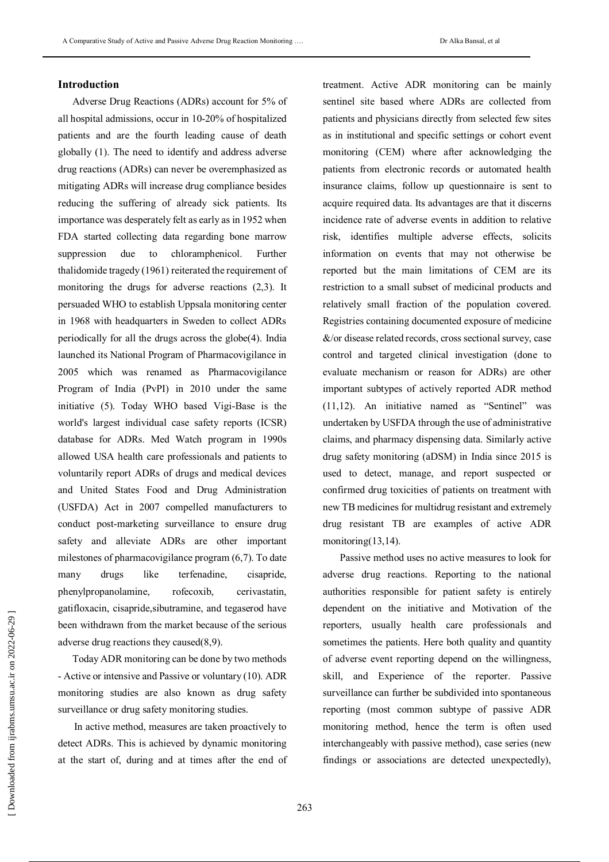# **Introduction**

Adverse Drug Reactions (ADRs) account for 5% of all hospital admissions, occur in 10-20% of hospitalized patients and are the fourth leading cause of death globally (1). The need to identify and address adverse drug reactions (ADRs) can never be overemphasized as mitigating ADRs will increase drug compliance besides reducing the suffering of already sick patients. Its importance was desperately felt as early as in 1952 when FDA started collecting data regarding bone marrow suppression due to chloramphenicol. Further thalidomide tragedy (1961) reiterated the requirement of monitoring the drugs for adverse reactions (2,3). It persuaded WHO to establish Uppsala monitoring center in 1968 with headquarters in Sweden to collect ADRs periodically for all the drugs across the globe(4). India launched its National Program of Pharmacovigilance in 2005 which was renamed as Pharmacovigilance Program of India (PvPI) in 2010 under the same initiative (5). Today WHO based Vigi-Base is the world's largest individual case safety reports (ICSR) database for ADRs. Med Watch program in 1990s allowed USA health care professionals and patients to voluntarily report ADRs of drugs and medical devices and United States Food and Drug Administration (USFDA) Act in 2007 compelled manufacturers to conduct post-marketing surveillance to ensure drug safety and alleviate ADRs are other important milestones of pharmacovigilance program (6,7). To date many drugs like terfenadine, cisapride, phenylpropanolamine, rofecoxib, cerivastatin, gatifloxacin, cisapride,sibutramine, and tegaserod have been withdrawn from the market because of the serious adverse drug reactions they caused(8,9).

Today ADR monitoring can be done by two methods - Active or intensive and Passive or voluntary (10). ADR monitoring studies are also known as drug safety surveillance or drug safety monitoring studies.

In active method, measures are taken proactively to detect ADRs. This is achieved by dynamic monitoring at the start of, during and at times after the end of treatment. Active ADR monitoring can be mainly sentinel site based where ADRs are collected from patients and physicians directly from selected few sites as in institutional and specific settings or cohort event monitoring (CEM) where after acknowledging the patients from electronic records or automated health insurance claims, follow up questionnaire is sent to acquire required data. Its advantages are that it discerns incidence rate of adverse events in addition to relative risk, identifies multiple adverse effects, solicits information on events that may not otherwise be reported but the main limitations of CEM are its restriction to a small subset of medicinal products and relatively small fraction of the population covered. Registries containing documented exposure of medicine &/or disease related records, cross sectional survey, case control and targeted clinical investigation (done to evaluate mechanism or reason for ADRs) are other important subtypes of actively reported ADR method (11,12). An initiative named as "Sentinel" was undertaken by USFDA through the use of administrative claims, and pharmacy dispensing data. Similarly active drug safety monitoring (aDSM) in India since 2015 is used to detect, manage, and report suspected or confirmed drug toxicities of patients on treatment with new TB medicines for multidrug resistant and extremely drug resistant TB are examples of active ADR monitoring(13,14).

Passive method uses no active measures to look for adverse drug reactions. Reporting to the national authorities responsible for patient safety is entirely dependent on the initiative and Motivation of the reporters, usually health care professionals and sometimes the patients. Here both quality and quantity of adverse event reporting depend on the willingness, skill, and Experience of the reporter. Passive surveillance can further be subdivided into spontaneous reporting (most common subtype of passive ADR monitoring method, hence the term is often used interchangeably with passive method), case series (new findings or associations are detected unexpectedly),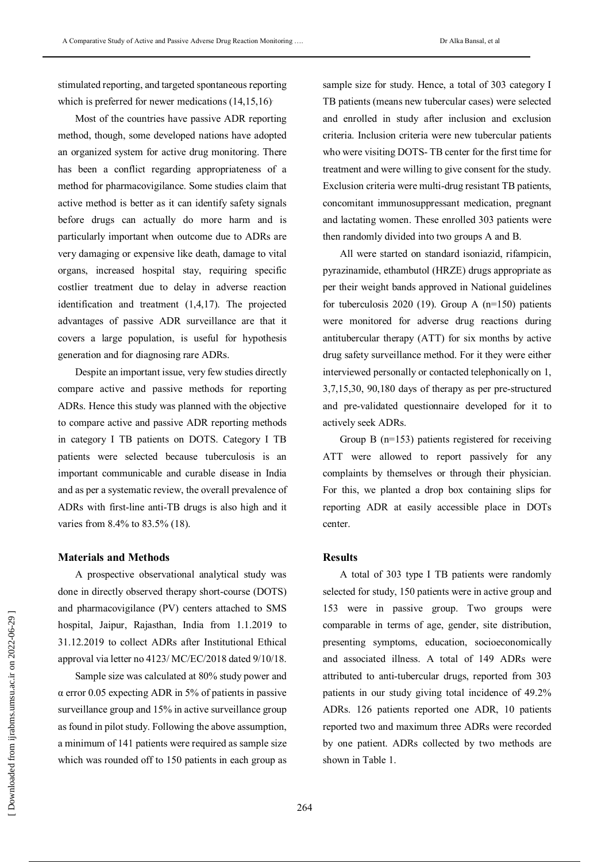stimulated reporting, and targeted spontaneous reporting which is preferred for newer medications (14,15,16).

Most of the countries have passive ADR reporting method, though, some developed nations have adopted an organized system for active drug monitoring. There has been a conflict regarding appropriateness of a method for pharmacovigilance. Some studies claim that active method is better as it can identify safety signals before drugs can actually do more harm and is particularly important when outcome due to ADRs are very damaging or expensive like death, damage to vital organs, increased hospital stay, requiring specific costlier treatment due to delay in adverse reaction identification and treatment (1,4,17). The projected advantages of passive ADR surveillance are that it covers a large population, is useful for hypothesis generation and for diagnosing rare ADRs.

Despite an important issue, very few studies directly compare active and passive methods for reporting ADRs. Hence this study was planned with the objective to compare active and passive ADR reporting methods in category I TB patients on DOTS. Category I TB patients were selected because tuberculosis is an important communicable and curable disease in India and as per a systematic review, the overall prevalence of ADRs with first-line anti-TB drugs is also high and it varies from 8.4% to 83.5% (18).

# **Materials and Methods**

A prospective observational analytical study was done in directly observed therapy short-course (DOTS) and pharmacovigilance (PV) centers attached to SMS hospital, Jaipur, Rajasthan, India from 1.1.2019 to 31.12.2019 to collect ADRs after Institutional Ethical approval via letter no 4123/ MC/EC/2018 dated 9/10/18.

Sample size was calculated at 80% study power and α error 0.05 expecting ADR in 5% of patients in passive surveillance group and 15% in active surveillance group as found in pilot study. Following the above assumption, a minimum of 141 patients were required as sample size which was rounded off to 150 patients in each group as

sample size for study. Hence, a total of 303 category I TB patients (means new tubercular cases) were selected and enrolled in study after inclusion and exclusion criteria. Inclusion criteria were new tubercular patients who were visiting DOTS- TB center for the first time for treatment and were willing to give consent for the study. Exclusion criteria were multi-drug resistant TB patients, concomitant immunosuppressant medication, pregnant and lactating women. These enrolled 303 patients were then randomly divided into two groups A and B.

All were started on standard isoniazid, rifampicin, pyrazinamide, ethambutol (HRZE) drugs appropriate as per their weight bands approved in National guidelines for tuberculosis 2020 (19). Group A  $(n=150)$  patients were monitored for adverse drug reactions during antitubercular therapy (ATT) for six months by active drug safety surveillance method. For it they were either interviewed personally or contacted telephonically on 1, 3,7,15,30, 90,180 days of therapy as per pre-structured and pre-validated questionnaire developed for it to actively seek ADRs.

Group B (n=153) patients registered for receiving ATT were allowed to report passively for any complaints by themselves or through their physician. For this, we planted a drop box containing slips for reporting ADR at easily accessible place in DOTs center.

#### **Results**

A total of 303 type I TB patients were randomly selected for study, 150 patients were in active group and 153 were in passive group. Two groups were comparable in terms of age, gender, site distribution, presenting symptoms, education, socioeconomically and associated illness. A total of 149 ADRs were attributed to anti-tubercular drugs, reported from 303 patients in our study giving total incidence of 49.2% ADRs. 126 patients reported one ADR, 10 patients reported two and maximum three ADRs were recorded by one patient. ADRs collected by two methods are shown in Table 1.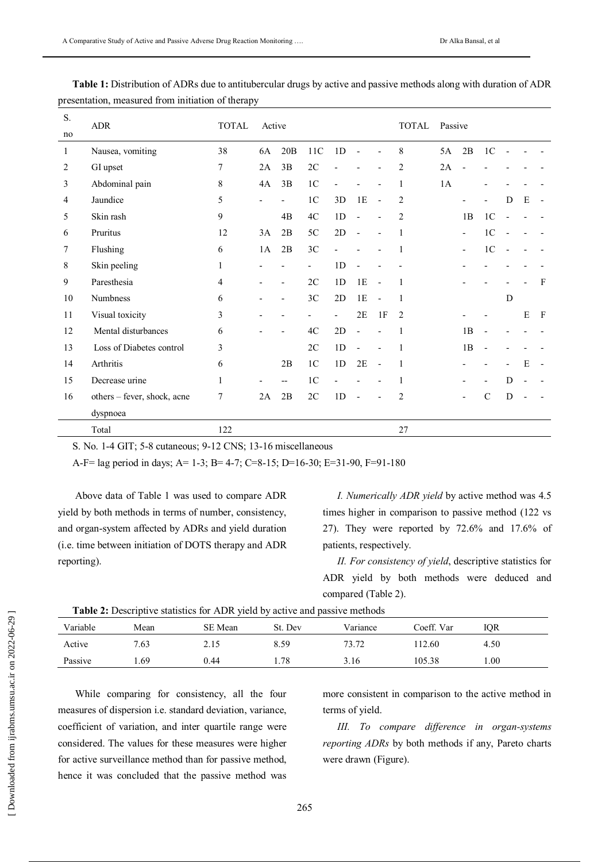| S. | <b>ADR</b>                  | <b>TOTAL</b> | Active |                          |                |                |                          | <b>TOTAL</b>             | Passive        |    |                          |                |                              |   |              |
|----|-----------------------------|--------------|--------|--------------------------|----------------|----------------|--------------------------|--------------------------|----------------|----|--------------------------|----------------|------------------------------|---|--------------|
| no |                             |              |        |                          |                |                |                          |                          |                |    |                          |                |                              |   |              |
| 1  | Nausea, vomiting            | 38           | 6A     | 20B                      | 11C            | 1D             |                          |                          | 8              | 5A | 2B                       | 1 <sup>C</sup> |                              |   |              |
| 2  | GI upset                    | 7            | 2A     | 3B                       | 2C             |                |                          |                          | $\overline{2}$ | 2A |                          |                |                              |   |              |
| 3  | Abdominal pain              | 8            | 4A     | 3B                       | 1 <sub>C</sub> |                |                          |                          | 1              | 1A |                          |                |                              |   |              |
| 4  | Jaundice                    | 5            |        |                          | 1 <sup>C</sup> | 3D             | 1E                       | L,                       | $\overline{2}$ |    |                          |                | D                            | E |              |
| 5  | Skin rash                   | 9            |        | 4B                       | 4C             | 1D             | $\overline{\phantom{a}}$ |                          | 2              |    | 1B                       | 1 <sup>C</sup> |                              |   |              |
| 6  | Pruritus                    | 12           | 3A     | 2B                       | 5C             | 2D             | $\overline{\phantom{a}}$ |                          | 1              |    | $\overline{\phantom{a}}$ | 1 <sup>C</sup> |                              |   |              |
| 7  | Flushing                    | 6            | 1A     | 2B                       | 3C             |                |                          |                          | 1              |    | ٠                        | 1 <sup>C</sup> |                              |   |              |
| 8  | Skin peeling                | 1            |        |                          |                | 1 <sub>D</sub> |                          |                          |                |    |                          |                |                              |   |              |
| 9  | Paresthesia                 | 4            |        | $\overline{\phantom{a}}$ | 2C             | 1D             | 1E                       | $\overline{\phantom{a}}$ | 1              |    |                          |                |                              |   | $\mathbf{F}$ |
| 10 | Numbness                    | 6            |        | $\overline{a}$           | 3C             | 2D             | 1E                       | $\overline{\phantom{a}}$ | 1              |    |                          |                | D                            |   |              |
| 11 | Visual toxicity             | 3            |        |                          |                | $\overline{a}$ | 2E                       | 1F                       | $\overline{2}$ |    |                          |                |                              | E | $\mathbf{F}$ |
| 12 | Mental disturbances         | 6            |        |                          | 4C             | 2D             |                          |                          | 1              |    | 1B                       |                |                              |   |              |
| 13 | Loss of Diabetes control    | 3            |        |                          | 2C             | 1D             |                          |                          | 1              |    | 1B                       |                |                              |   |              |
| 14 | Arthritis                   | 6            |        | 2B                       | 1 <sup>C</sup> | 1D             | $2\mathrm{E}$            | $\overline{\phantom{a}}$ | 1              |    |                          |                | $\qquad \qquad \blacksquare$ | E |              |
| 15 | Decrease urine              | $\mathbf{1}$ |        | --                       | 1 <sup>C</sup> |                |                          |                          | 1              |    |                          |                | D                            |   |              |
| 16 | others – fever, shock, acne | 7            | 2A     | 2B                       | 2C             | 1 <sub>D</sub> |                          |                          | $\overline{2}$ |    |                          | $\mathbf C$    | D                            |   |              |
|    | dyspnoea                    |              |        |                          |                |                |                          |                          |                |    |                          |                |                              |   |              |
|    | Total                       | 122          |        |                          |                |                |                          |                          | 27             |    |                          |                |                              |   |              |

**Table 1:** Distribution of ADRs due to antitubercular drugs by active and passive methods along with duration of ADR presentation, measured from initiation of therapy

S. No. 1-4 GIT; 5-8 cutaneous; 9-12 CNS; 13-16 miscellaneous

A-F= lag period in days; A= 1-3; B= 4-7; C=8-15; D=16-30; E=31-90, F=91-180

Above data of Table 1 was used to compare ADR yield by both methods in terms of number, consistency, and organ-system affected by ADRs and yield duration (i.e. time between initiation of DOTS therapy and ADR reporting).

*I. Numerically ADR yield* by active method was 4.5 times higher in comparison to passive method (122 vs 27). They were reported by 72.6% and 17.6% of patients, respectively.

*II. For consistency of yield*, descriptive statistics for ADR yield by both methods were deduced and compared (Table 2).

| <b>Table 2:</b> Descriptive statistics for ADR yield by active and passive methods |      |         |        |          |            |      |  |  |  |  |
|------------------------------------------------------------------------------------|------|---------|--------|----------|------------|------|--|--|--|--|
| Variable                                                                           | Mean | SE Mean | St Dev | Variance | Coeff. Var | IOR  |  |  |  |  |
| Active                                                                             | 7.63 | 2.15    | 8.59   | 73.72    | 112.60     | 4.50 |  |  |  |  |
| Passive                                                                            | -69  | 0.44    | -78    | 3.16     | 105.38     | 0.00 |  |  |  |  |

While comparing for consistency, all the four measures of dispersion i.e. standard deviation, variance, coefficient of variation, and inter quartile range were considered. The values for these measures were higher for active surveillance method than for passive method, hence it was concluded that the passive method was

more consistent in comparison to the active method in terms of yield.

*III. To compare difference in organ-systems reporting ADRs* by both methods if any, Pareto charts were drawn (Figure).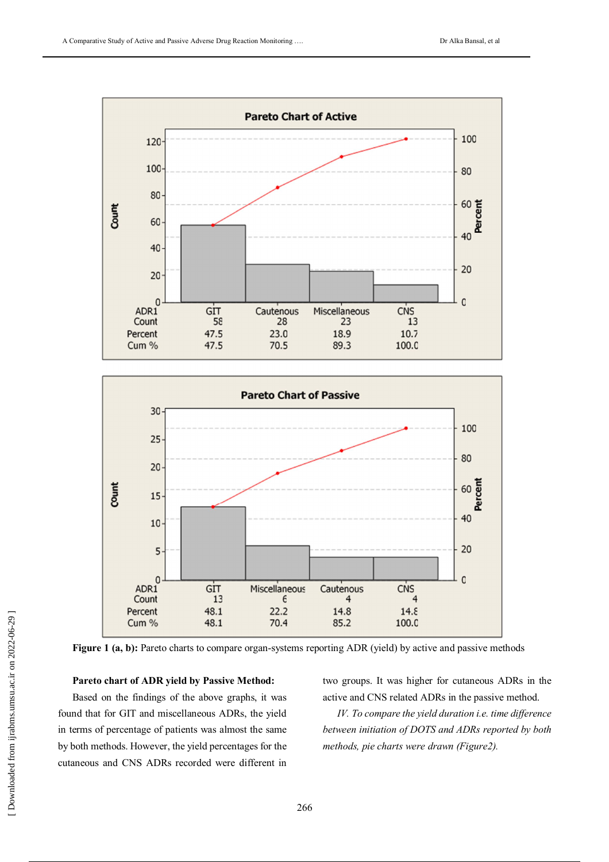



**Figure 1 (a, b):** Pareto charts to compare organ-systems reporting ADR (yield) by active and passive methods

#### **Pareto chart of ADR yield by Passive Method:**

Based on the findings of the above graphs, it was found that for GIT and miscellaneous ADRs, the yield in terms of percentage of patients was almost the same by both methods. However, the yield percentages for the cutaneous and CNS ADRs recorded were different in two groups. It was higher for cutaneous ADRs in the active and CNS related ADRs in the passive method.

*IV. To compare the yield duration i.e. time difference between initiation of DOTS and ADRs reported by both methods, pie charts were drawn (Figure2).*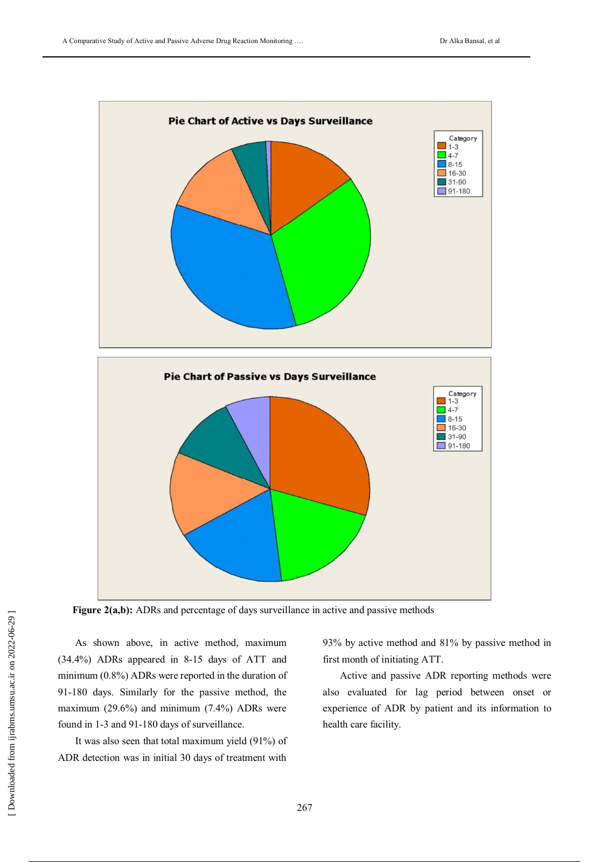

Figure 2(a,b): ADRs and percentage of days surveillance in active and passive methods

As shown above, in active method, maximum (34.4%) ADRs appeared in 8-15 days of ATT and minimum (0.8%) ADRs were reported in the duration of 91-180 days. Similarly for the passive method, the maximum (29.6%) and minimum (7.4%) ADRs were found in 1-3 and 91-180 days of surveillance.

It was also seen that total maximum yield (91%) of ADR detection was in initial 30 days of treatment with

93% by active method and 81% by passive method in first month of initiating ATT.

Active and passive ADR reporting methods were also evaluated for lag period between onset or experience of ADR by patient and its information to health care facility.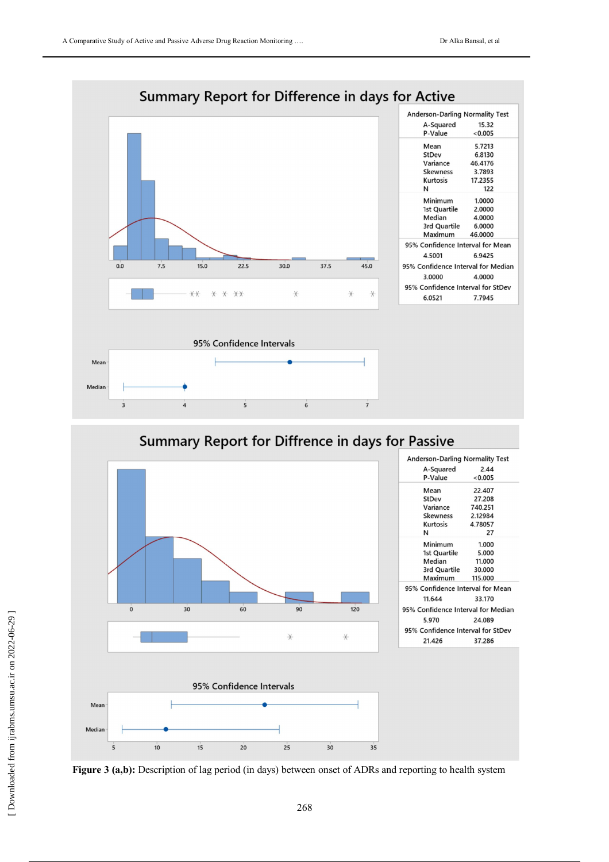

# Summary Report for Diffrence in days for Passive



**Figure 3 (a,b):** Description of lag period (in days) between onset of ADRs and reporting to health system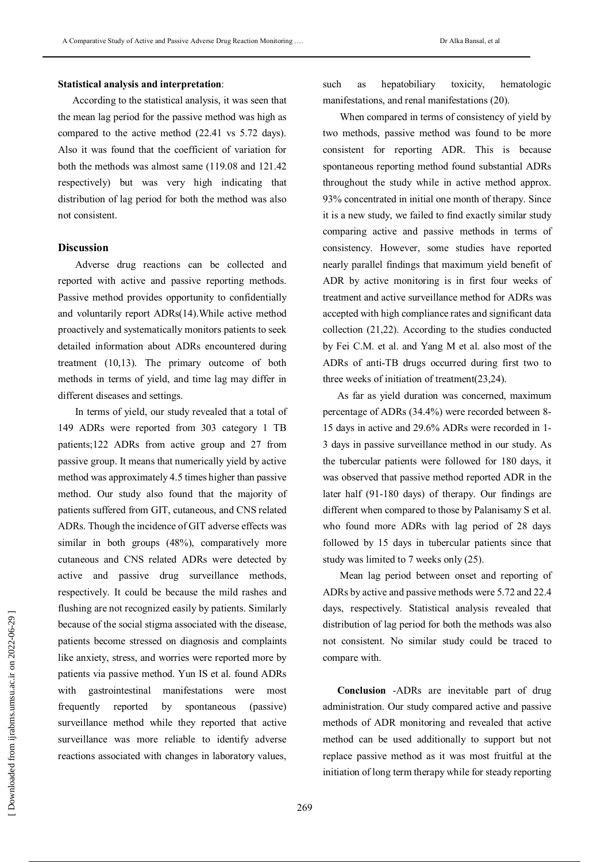#### **Statistical analysis and interpretation**:

According to the statistical analysis, it was seen that the mean lag period for the passive method was high as compared to the active method (22.41 vs 5.72 days). Also it was found that the coefficient of variation for both the methods was almost same (119.08 and 121.42 respectively) but was very high indicating that distribution of lag period for both the method was also not consistent.

#### **Discussion**

Adverse drug reactions can be collected and reported with active and passive reporting methods. Passive method provides opportunity to confidentially and voluntarily report ADRs(14).While active method proactively and systematically monitors patients to seek detailed information about ADRs encountered during treatment (10,13). The primary outcome of both methods in terms of yield, and time lag may differ in different diseases and settings.

In terms of yield, our study revealed that a total of 149 ADRs were reported from 303 category 1 TB patients;122 ADRs from active group and 27 from passive group. It means that numerically yield by active method was approximately 4.5 times higher than passive method. Our study also found that the majority of patients suffered from GIT, cutaneous, and CNS related ADRs. Though the incidence of GIT adverse effects was similar in both groups (48%), comparatively more cutaneous and CNS related ADRs were detected by active and passive drug surveillance methods, respectively. It could be because the mild rashes and flushing are not recognized easily by patients. Similarly because of the social stigma associated with the disease, patients become stressed on diagnosis and complaints like anxiety, stress, and worries were reported more by patients via passive method. Yun IS et al. found ADRs with gastrointestinal manifestations were most frequently reported by spontaneous (passive) surveillance method while they reported that active surveillance was more reliable to identify adverse reactions associated with changes in laboratory values,

such as hepatobiliary toxicity, hematologic manifestations, and renal manifestations (20).

When compared in terms of consistency of yield by two methods, passive method was found to be more consistent for reporting ADR. This is because spontaneous reporting method found substantial ADRs throughout the study while in active method approx. 93% concentrated in initial one month of therapy. Since it is a new study, we failed to find exactly similar study comparing active and passive methods in terms of consistency. However, some studies have reported nearly parallel findings that maximum yield benefit of ADR by active monitoring is in first four weeks of treatment and active surveillance method for ADRs was accepted with high compliance rates and significant data collection (21,22). According to the studies conducted by Fei C.M. et al. and Yang M et al. also most of the ADRs of anti-TB drugs occurred during first two to three weeks of initiation of treatment(23,24).

As far as yield duration was concerned, maximum percentage of ADRs (34.4%) were recorded between 8- 15 days in active and 29.6% ADRs were recorded in 1- 3 days in passive surveillance method in our study. As the tubercular patients were followed for 180 days, it was observed that passive method reported ADR in the later half (91-180 days) of therapy. Our findings are different when compared to those by Palanisamy S et al. who found more ADRs with lag period of 28 days followed by 15 days in tubercular patients since that study was limited to 7 weeks only (25).

Mean lag period between onset and reporting of ADRs by active and passive methods were 5.72 and 22.4 days, respectively. Statistical analysis revealed that distribution of lag period for both the methods was also not consistent. No similar study could be traced to compare with.

**Conclusion** -ADRs are inevitable part of drug administration. Our study compared active and passive methods of ADR monitoring and revealed that active method can be used additionally to support but not replace passive method as it was most fruitful at the initiation of long term therapy while for steady reporting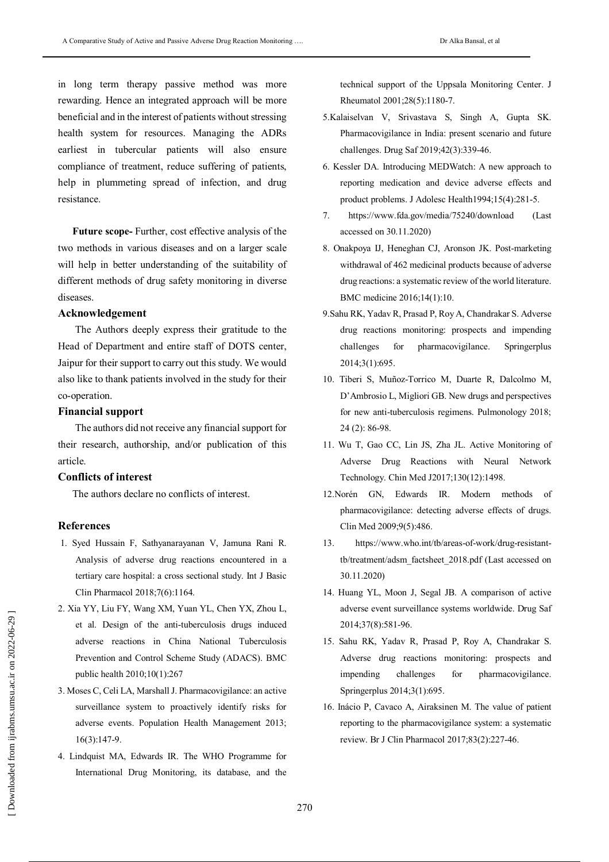in long term therapy passive method was more rewarding. Hence an integrated approach will be more beneficial and in the interest of patients without stressing health system for resources. Managing the ADRs earliest in tubercular patients will also ensure compliance of treatment, reduce suffering of patients, help in plummeting spread of infection, and drug resistance.

**Future scope-** Further, cost effective analysis of the two methods in various diseases and on a larger scale will help in better understanding of the suitability of different methods of drug safety monitoring in diverse diseases.

#### **Acknowledgement**

The Authors deeply express their gratitude to the Head of Department and entire staff of DOTS center, Jaipur for their support to carry out this study. We would also like to thank patients involved in the study for their co-operation.

#### **Financial support**

The authors did not receive any financial support for their research, authorship, and/or publication of this article.

#### **Conflicts of interest**

The authors declare no conflicts of interest.

## **References**

- 1. Syed Hussain F, Sathyanarayanan V, Jamuna Rani R. Analysis of adverse drug reactions encountered in a tertiary care hospital: a cross sectional study. Int J Basic Clin Pharmacol 2018;7(6):1164.
- 2. Xia YY, Liu FY, Wang XM, Yuan YL, Chen YX, Zhou L, et al. Design of the anti-tuberculosis drugs induced adverse reactions in China National Tuberculosis Prevention and Control Scheme Study (ADACS). BMC public health 2010;10(1):267
- 3. Moses C, Celi LA, Marshall J. Pharmacovigilance: an active surveillance system to proactively identify risks for adverse events. Population Health Management 2013; 16(3):147-9.
- 4. Lindquist MA, Edwards IR. The WHO Programme for International Drug Monitoring, its database, and the

technical support of the Uppsala Monitoring Center. J Rheumatol 2001;28(5):1180-7.

- 5.Kalaiselvan V, Srivastava S, Singh A, Gupta SK. Pharmacovigilance in India: present scenario and future challenges. Drug Saf 2019;42(3):339-46.
- 6. Kessler DA. Introducing MEDWatch: A new approach to reporting medication and device adverse effects and product problems. J Adolesc Health1994;15(4):281-5.
- 7. https://www.fda.gov/media/75240/download (Last accessed on 30.11.2020)
- 8. Onakpoya IJ, Heneghan CJ, Aronson JK. Post-marketing withdrawal of 462 medicinal products because of adverse drug reactions: a systematic review of the world literature. BMC medicine 2016;14(1):10.
- 9.Sahu RK, Yadav R, Prasad P, Roy A, Chandrakar S. Adverse drug reactions monitoring: prospects and impending challenges for pharmacovigilance. Springerplus 2014;3(1):695.
- 10. Tiberi S, Muñoz-Torrico M, Duarte R, Dalcolmo M, D'Ambrosio L, Migliori GB. New drugs and perspectives for new anti-tuberculosis regimens. Pulmonology 2018; 24 (2): 86-98.
- 11. Wu T, Gao CC, Lin JS, Zha JL. Active Monitoring of Adverse Drug Reactions with Neural Network Technology. Chin Med J2017;130(12):1498.
- 12.Norén GN, Edwards IR. Modern methods of pharmacovigilance: detecting adverse effects of drugs. Clin Med 2009;9(5):486.
- 13. https://www.who.int/tb/areas-of-work/drug-resistanttb/treatment/adsm\_factsheet\_2018.pdf (Last accessed on 30.11.2020)
- 14. Huang YL, Moon J, Segal JB. A comparison of active adverse event surveillance systems worldwide. Drug Saf 2014;37(8):581-96.
- 15. Sahu RK, Yadav R, Prasad P, Roy A, Chandrakar S. Adverse drug reactions monitoring: prospects and impending challenges for pharmacovigilance. Springerplus 2014;3(1):695.
- 16. Inácio P, Cavaco A, Airaksinen M. The value of patient reporting to the pharmacovigilance system: a systematic review. Br J Clin Pharmacol 2017;83(2):227-46.